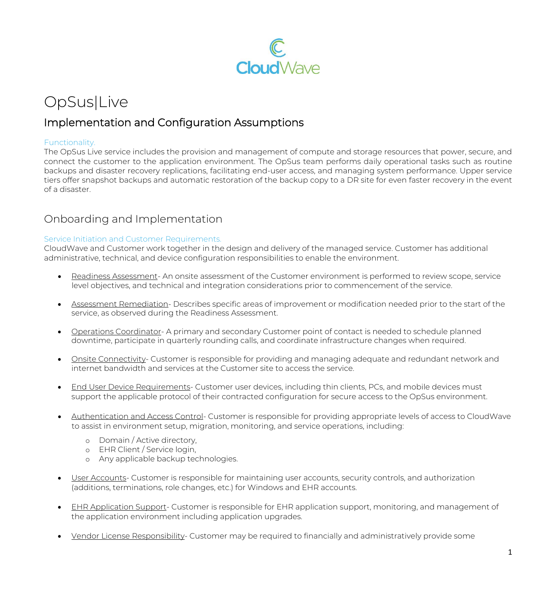

# OpSus|Live

### Implementation and Configuration Assumptions

#### Functionality.

The OpSus Live service includes the provision and management of compute and storage resources that power, secure, and connect the customer to the application environment. The OpSus team performs daily operational tasks such as routine backups and disaster recovery replications, facilitating end-user access, and managing system performance. Upper service tiers offer snapshot backups and automatic restoration of the backup copy to a DR site for even faster recovery in the event of a disaster.

### Onboarding and Implementation

#### Service Initiation and Customer Requirements.

CloudWave and Customer work together in the design and delivery of the managed service. Customer has additional administrative, technical, and device configuration responsibilities to enable the environment.

- Readiness Assessment- An onsite assessment of the Customer environment is performed to review scope, service level objectives, and technical and integration considerations prior to commencement of the service.
- Assessment Remediation- Describes specific areas of improvement or modification needed prior to the start of the service, as observed during the Readiness Assessment.
- Operations Coordinator- A primary and secondary Customer point of contact is needed to schedule planned downtime, participate in quarterly rounding calls, and coordinate infrastructure changes when required.
- Onsite Connectivity- Customer is responsible for providing and managing adequate and redundant network and internet bandwidth and services at the Customer site to access the service.
- End User Device Requirements- Customer user devices, including thin clients, PCs, and mobile devices must support the applicable protocol of their contracted configuration for secure access to the OpSus environment.
- Authentication and Access Control- Customer is responsible for providing appropriate levels of access to CloudWave to assist in environment setup, migration, monitoring, and service operations, including:
	- o Domain / Active directory,
	- o EHR Client / Service login,
	- o Any applicable backup technologies.
- User Accounts- Customer is responsible for maintaining user accounts, security controls, and authorization (additions, terminations, role changes, etc.) for Windows and EHR accounts.
- EHR Application Support- Customer is responsible for EHR application support, monitoring, and management of the application environment including application upgrades.
- Vendor License Responsibility- Customer may be required to financially and administratively provide some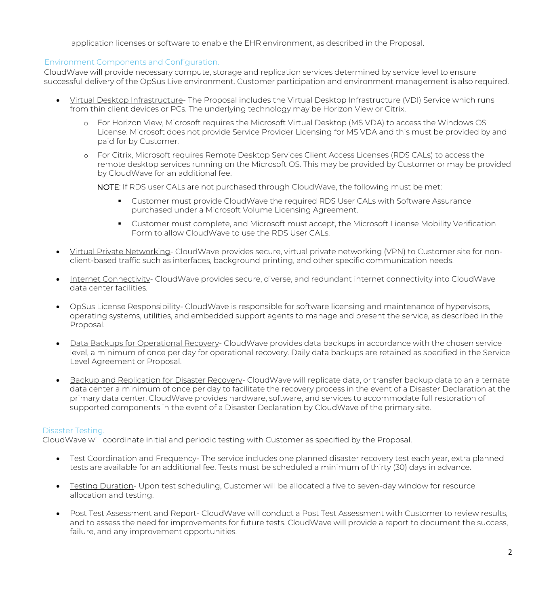application licenses or software to enable the EHR environment, as described in the Proposal.

#### Environment Components and Configuration.

CloudWave will provide necessary compute, storage and replication services determined by service level to ensure successful delivery of the OpSus Live environment. Customer participation and environment management is also required.

- Virtual Desktop Infrastructure- The Proposal includes the Virtual Desktop Infrastructure (VDI) Service which runs from thin client devices or PCs. The underlying technology may be Horizon View or Citrix.
	- o For Horizon View, Microsoft requires the Microsoft Virtual Desktop (MS VDA) to access the Windows OS License. Microsoft does not provide Service Provider Licensing for MS VDA and this must be provided by and paid for by Customer.
	- o For Citrix, Microsoft requires Remote Desktop Services Client Access Licenses (RDS CALs) to access the remote desktop services running on the Microsoft OS. This may be provided by Customer or may be provided by CloudWave for an additional fee.

NOTE: If RDS user CALs are not purchased through CloudWave, the following must be met:

- **Customer must provide CloudWave the required RDS User CALs with Software Assurance** purchased under a Microsoft Volume Licensing Agreement.
- **Customer must complete, and Microsoft must accept, the Microsoft License Mobility Verification** Form to allow CloudWave to use the RDS User CALs.
- Virtual Private Networking- CloudWave provides secure, virtual private networking (VPN) to Customer site for nonclient-based traffic such as interfaces, background printing, and other specific communication needs.
- Internet Connectivity- CloudWave provides secure, diverse, and redundant internet connectivity into CloudWave data center facilities.
- OpSus License Responsibility- CloudWave is responsible for software licensing and maintenance of hypervisors, operating systems, utilities, and embedded support agents to manage and present the service, as described in the Proposal.
- Data Backups for Operational Recovery- CloudWave provides data backups in accordance with the chosen service level, a minimum of once per day for operational recovery. Daily data backups are retained as specified in the Service Level Agreement or Proposal.
- Backup and Replication for Disaster Recovery- CloudWave will replicate data, or transfer backup data to an alternate data center a minimum of once per day to facilitate the recovery process in the event of a Disaster Declaration at the primary data center. CloudWave provides hardware, software, and services to accommodate full restoration of supported components in the event of a Disaster Declaration by CloudWave of the primary site.

#### Disaster Testing.

CloudWave will coordinate initial and periodic testing with Customer as specified by the Proposal.

- Test Coordination and Frequency- The service includes one planned disaster recovery test each year, extra planned tests are available for an additional fee. Tests must be scheduled a minimum of thirty (30) days in advance.
- Testing Duration- Upon test scheduling, Customer will be allocated a five to seven-day window for resource allocation and testing.
- Post Test Assessment and Report- CloudWave will conduct a Post Test Assessment with Customer to review results, and to assess the need for improvements for future tests. CloudWave will provide a report to document the success, failure, and any improvement opportunities.